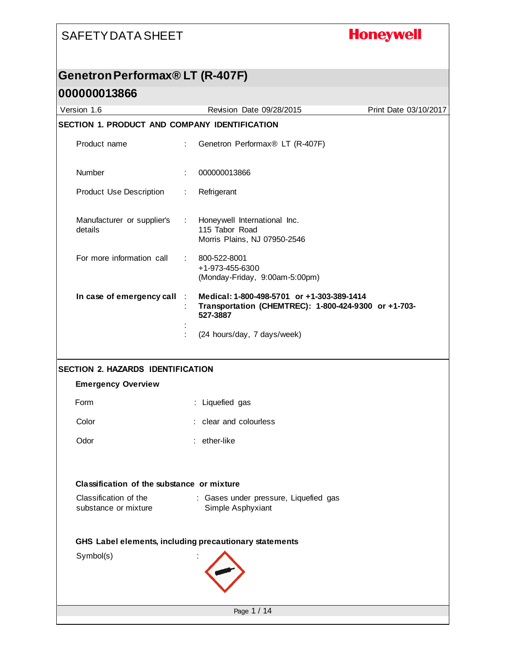# **Honeywell**

#### **Genetron Performax® LT (R-407F)**

|                                                        |                                                                                                                                                 | Print Date 03/10/2017                                                                                                                                                                                                                                                                                                                                                                                                                                                           |  |  |
|--------------------------------------------------------|-------------------------------------------------------------------------------------------------------------------------------------------------|---------------------------------------------------------------------------------------------------------------------------------------------------------------------------------------------------------------------------------------------------------------------------------------------------------------------------------------------------------------------------------------------------------------------------------------------------------------------------------|--|--|
| SECTION 1. PRODUCT AND COMPANY IDENTIFICATION          |                                                                                                                                                 |                                                                                                                                                                                                                                                                                                                                                                                                                                                                                 |  |  |
|                                                        |                                                                                                                                                 |                                                                                                                                                                                                                                                                                                                                                                                                                                                                                 |  |  |
|                                                        |                                                                                                                                                 |                                                                                                                                                                                                                                                                                                                                                                                                                                                                                 |  |  |
| Refrigerant                                            |                                                                                                                                                 |                                                                                                                                                                                                                                                                                                                                                                                                                                                                                 |  |  |
|                                                        |                                                                                                                                                 |                                                                                                                                                                                                                                                                                                                                                                                                                                                                                 |  |  |
| 800-522-8001                                           |                                                                                                                                                 |                                                                                                                                                                                                                                                                                                                                                                                                                                                                                 |  |  |
| 527-3887                                               |                                                                                                                                                 |                                                                                                                                                                                                                                                                                                                                                                                                                                                                                 |  |  |
|                                                        |                                                                                                                                                 |                                                                                                                                                                                                                                                                                                                                                                                                                                                                                 |  |  |
|                                                        |                                                                                                                                                 |                                                                                                                                                                                                                                                                                                                                                                                                                                                                                 |  |  |
|                                                        |                                                                                                                                                 |                                                                                                                                                                                                                                                                                                                                                                                                                                                                                 |  |  |
|                                                        |                                                                                                                                                 |                                                                                                                                                                                                                                                                                                                                                                                                                                                                                 |  |  |
|                                                        |                                                                                                                                                 |                                                                                                                                                                                                                                                                                                                                                                                                                                                                                 |  |  |
| : ether-like                                           |                                                                                                                                                 |                                                                                                                                                                                                                                                                                                                                                                                                                                                                                 |  |  |
| Classification of the substance or mixture             |                                                                                                                                                 |                                                                                                                                                                                                                                                                                                                                                                                                                                                                                 |  |  |
|                                                        |                                                                                                                                                 |                                                                                                                                                                                                                                                                                                                                                                                                                                                                                 |  |  |
| GHS Label elements, including precautionary statements |                                                                                                                                                 |                                                                                                                                                                                                                                                                                                                                                                                                                                                                                 |  |  |
|                                                        |                                                                                                                                                 |                                                                                                                                                                                                                                                                                                                                                                                                                                                                                 |  |  |
|                                                        |                                                                                                                                                 |                                                                                                                                                                                                                                                                                                                                                                                                                                                                                 |  |  |
|                                                        | ÷<br>÷<br>$\mathbb{Z}^{\mathbb{Z}}$ .<br>$\mathcal{L}_{\mathcal{A}}$<br>In case of emergency call :<br><b>SECTION 2. HAZARDS IDENTIFICATION</b> | Revision Date 09/28/2015<br>Genetron Performax® LT (R-407F)<br>000000013866<br>Honeywell International Inc.<br>115 Tabor Road<br>Morris Plains, NJ 07950-2546<br>+1-973-455-6300<br>(Monday-Friday, 9:00am-5:00pm)<br>Medical: 1-800-498-5701 or +1-303-389-1414<br>Transportation (CHEMTREC): 1-800-424-9300 or +1-703-<br>(24 hours/day, 7 days/week)<br>: Liquefied gas<br>clear and colourless<br>: Gases under pressure, Liquefied gas<br>Simple Asphyxiant<br>Page 1 / 14 |  |  |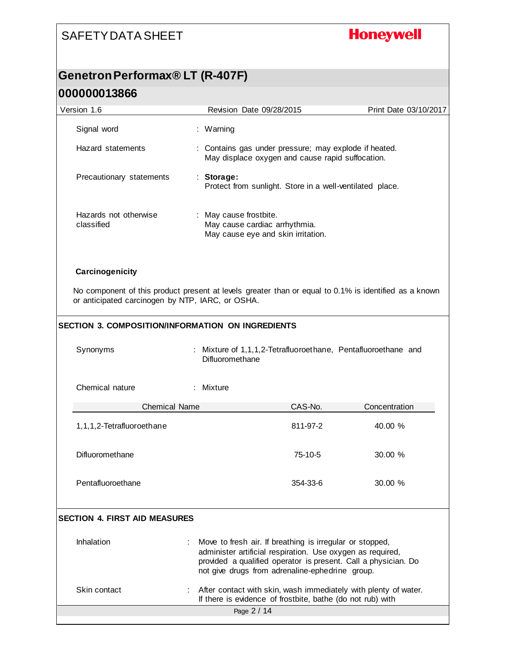# **Honeywell**

### **Genetron Performax® LT (R-407F) 000000013866**

| Version 1.6                                       | Revision Date 09/28/2015                                                                                                                                                                                                                    | Print Date 03/10/2017 |  |  |
|---------------------------------------------------|---------------------------------------------------------------------------------------------------------------------------------------------------------------------------------------------------------------------------------------------|-----------------------|--|--|
| Signal word                                       | : Warning                                                                                                                                                                                                                                   |                       |  |  |
| Hazard statements                                 | : Contains gas under pressure; may explode if heated.<br>May displace oxygen and cause rapid suffocation.                                                                                                                                   |                       |  |  |
| Precautionary statements                          | : Storage:<br>Protect from sunlight. Store in a well-ventilated place.                                                                                                                                                                      |                       |  |  |
| Hazards not otherwise<br>classified               | : May cause frostbite.<br>May cause cardiac arrhythmia.<br>May cause eye and skin irritation.                                                                                                                                               |                       |  |  |
| Carcinogenicity                                   |                                                                                                                                                                                                                                             |                       |  |  |
| or anticipated carcinogen by NTP, IARC, or OSHA.  | No component of this product present at levels greater than or equal to 0.1% is identified as a known                                                                                                                                       |                       |  |  |
| SECTION 3. COMPOSITION/INFORMATION ON INGREDIENTS |                                                                                                                                                                                                                                             |                       |  |  |
| Synonyms                                          | Mixture of 1,1,1,2-Tetrafluoroethane, Pentafluoroethane and<br>Difluoromethane                                                                                                                                                              |                       |  |  |
| Chemical nature                                   | : Mixture                                                                                                                                                                                                                                   |                       |  |  |
| <b>Chemical Name</b>                              | CAS-No.                                                                                                                                                                                                                                     | Concentration         |  |  |
| 1,1,1,2-Tetrafluoroethane                         | 811-97-2                                                                                                                                                                                                                                    | 40.00 %               |  |  |
| Difluoromethane                                   | 75-10-5                                                                                                                                                                                                                                     | 30.00 %               |  |  |
| Pentafluoroethane                                 | 354-33-6                                                                                                                                                                                                                                    | 30.00 %               |  |  |
| <b>SECTION 4. FIRST AID MEASURES</b>              |                                                                                                                                                                                                                                             |                       |  |  |
| Inhalation                                        | Move to fresh air. If breathing is irregular or stopped,<br>administer artificial respiration. Use oxygen as required,<br>provided a qualified operator is present. Call a physician. Do<br>not give drugs from adrenaline-ephedrine group. |                       |  |  |
| Skin contact                                      | : After contact with skin, wash immediately with plenty of water.<br>If there is evidence of frostbite, bathe (do not rub) with                                                                                                             |                       |  |  |
|                                                   | Page 2 / 14                                                                                                                                                                                                                                 |                       |  |  |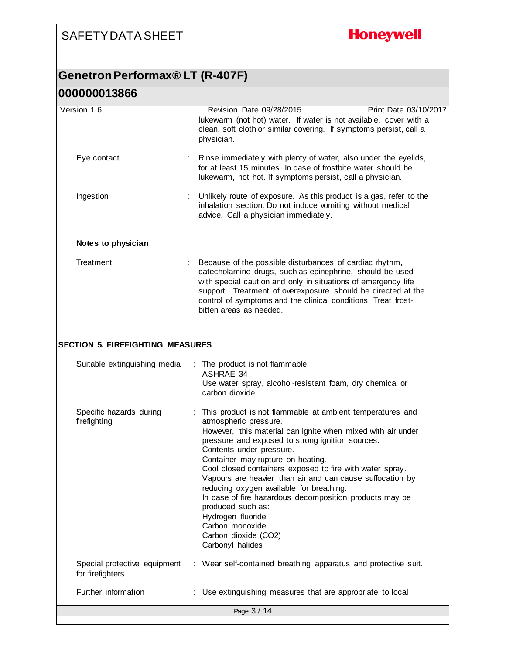# **Honeywell**

#### **Genetron Performax® LT (R-407F)**

| Version 1.6                                      | Revision Date 09/28/2015                                                                                                                                                                                                                                                                                                                                                                                                                                                                                                                                                                                        | Print Date 03/10/2017 |
|--------------------------------------------------|-----------------------------------------------------------------------------------------------------------------------------------------------------------------------------------------------------------------------------------------------------------------------------------------------------------------------------------------------------------------------------------------------------------------------------------------------------------------------------------------------------------------------------------------------------------------------------------------------------------------|-----------------------|
|                                                  | lukewarm (not hot) water. If water is not available, cover with a<br>clean, soft cloth or similar covering. If symptoms persist, call a<br>physician.                                                                                                                                                                                                                                                                                                                                                                                                                                                           |                       |
| Eye contact                                      | Rinse immediately with plenty of water, also under the eyelids,<br>for at least 15 minutes. In case of frostbite water should be<br>lukewarm, not hot. If symptoms persist, call a physician.                                                                                                                                                                                                                                                                                                                                                                                                                   |                       |
| Ingestion                                        | Unlikely route of exposure. As this product is a gas, refer to the<br>inhalation section. Do not induce vomiting without medical<br>advice. Call a physician immediately.                                                                                                                                                                                                                                                                                                                                                                                                                                       |                       |
| Notes to physician                               |                                                                                                                                                                                                                                                                                                                                                                                                                                                                                                                                                                                                                 |                       |
| Treatment                                        | Because of the possible disturbances of cardiac rhythm,<br>catecholamine drugs, such as epinephrine, should be used<br>with special caution and only in situations of emergency life<br>support. Treatment of overexposure should be directed at the<br>control of symptoms and the clinical conditions. Treat frost-<br>bitten areas as needed.                                                                                                                                                                                                                                                                |                       |
| <b>SECTION 5. FIREFIGHTING MEASURES</b>          |                                                                                                                                                                                                                                                                                                                                                                                                                                                                                                                                                                                                                 |                       |
|                                                  |                                                                                                                                                                                                                                                                                                                                                                                                                                                                                                                                                                                                                 |                       |
| Suitable extinguishing media                     | The product is not flammable.<br><b>ASHRAE 34</b><br>Use water spray, alcohol-resistant foam, dry chemical or<br>carbon dioxide.                                                                                                                                                                                                                                                                                                                                                                                                                                                                                |                       |
| Specific hazards during<br>firefighting          | This product is not flammable at ambient temperatures and<br>atmospheric pressure.<br>However, this material can ignite when mixed with air under<br>pressure and exposed to strong ignition sources.<br>Contents under pressure.<br>Container may rupture on heating.<br>Cool closed containers exposed to fire with water spray.<br>Vapours are heavier than air and can cause suffocation by<br>reducing oxygen available for breathing.<br>In case of fire hazardous decomposition products may be<br>produced such as:<br>Hydrogen fluoride<br>Carbon monoxide<br>Carbon dioxide (CO2)<br>Carbonyl halides |                       |
| Special protective equipment<br>for firefighters | : Wear self-contained breathing apparatus and protective suit.                                                                                                                                                                                                                                                                                                                                                                                                                                                                                                                                                  |                       |
| Further information                              | : Use extinguishing measures that are appropriate to local                                                                                                                                                                                                                                                                                                                                                                                                                                                                                                                                                      |                       |
|                                                  | Page 3 / 14                                                                                                                                                                                                                                                                                                                                                                                                                                                                                                                                                                                                     |                       |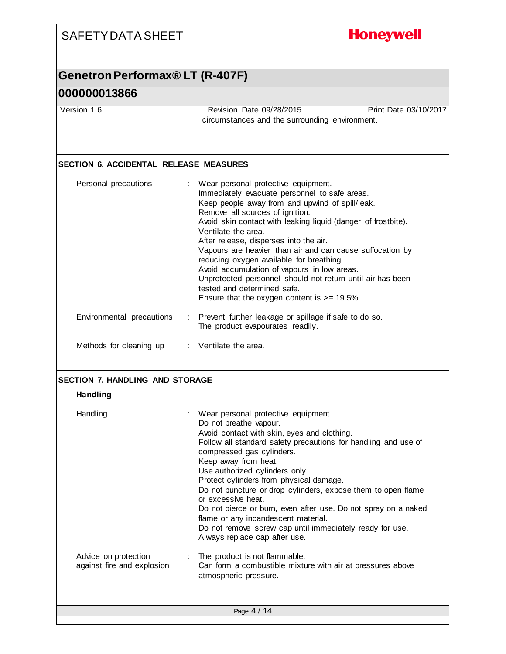| <b>SAFETY DATA SHEET</b>                                  | <b>Honeywell</b>                                                                                                                                                                                                                                                                                                                                                                                                                                                                                                                                                                                                     |
|-----------------------------------------------------------|----------------------------------------------------------------------------------------------------------------------------------------------------------------------------------------------------------------------------------------------------------------------------------------------------------------------------------------------------------------------------------------------------------------------------------------------------------------------------------------------------------------------------------------------------------------------------------------------------------------------|
| Genetron Performax® LT (R-407F)                           |                                                                                                                                                                                                                                                                                                                                                                                                                                                                                                                                                                                                                      |
| 000000013866                                              |                                                                                                                                                                                                                                                                                                                                                                                                                                                                                                                                                                                                                      |
| Version 1.6                                               | Revision Date 09/28/2015<br>Print Date 03/10/2017                                                                                                                                                                                                                                                                                                                                                                                                                                                                                                                                                                    |
|                                                           | circumstances and the surrounding environment.                                                                                                                                                                                                                                                                                                                                                                                                                                                                                                                                                                       |
| <b>SECTION 6. ACCIDENTAL RELEASE MEASURES</b>             |                                                                                                                                                                                                                                                                                                                                                                                                                                                                                                                                                                                                                      |
| Personal precautions                                      | Wear personal protective equipment.<br>Immediately evacuate personnel to safe areas.<br>Keep people away from and upwind of spill/leak.<br>Remove all sources of ignition.<br>Avoid skin contact with leaking liquid (danger of frostbite).<br>Ventilate the area.<br>After release, disperses into the air.<br>Vapours are heavier than air and can cause suffocation by<br>reducing oxygen available for breathing.<br>Avoid accumulation of vapours in low areas.<br>Unprotected personnel should not return until air has been<br>tested and determined safe.<br>Ensure that the oxygen content is $>= 19.5\%$ . |
| Environmental precautions                                 | : Prevent further leakage or spillage if safe to do so.<br>The product evapourates readily.                                                                                                                                                                                                                                                                                                                                                                                                                                                                                                                          |
| Methods for cleaning up : Ventilate the area.             |                                                                                                                                                                                                                                                                                                                                                                                                                                                                                                                                                                                                                      |
| <b>SECTION 7. HANDLING AND STORAGE</b><br><b>Handling</b> |                                                                                                                                                                                                                                                                                                                                                                                                                                                                                                                                                                                                                      |
| Handling                                                  | Wear personal protective equipment.<br>Do not breathe vapour.<br>Avoid contact with skin, eyes and clothing.<br>Follow all standard safety precautions for handling and use of<br>compressed gas cylinders.<br>Keep away from heat.<br>Use authorized cylinders only.<br>Protect cylinders from physical damage.<br>Do not puncture or drop cylinders, expose them to open flame<br>or excessive heat.<br>Do not pierce or burn, even after use. Do not spray on a naked<br>flame or any incandescent material.<br>Do not remove screw cap until immediately ready for use.<br>Always replace cap after use.         |
| Advice on protection<br>against fire and explosion        | The product is not flammable.<br>Can form a combustible mixture with air at pressures above<br>atmospheric pressure.                                                                                                                                                                                                                                                                                                                                                                                                                                                                                                 |
|                                                           | Page 4 / 14                                                                                                                                                                                                                                                                                                                                                                                                                                                                                                                                                                                                          |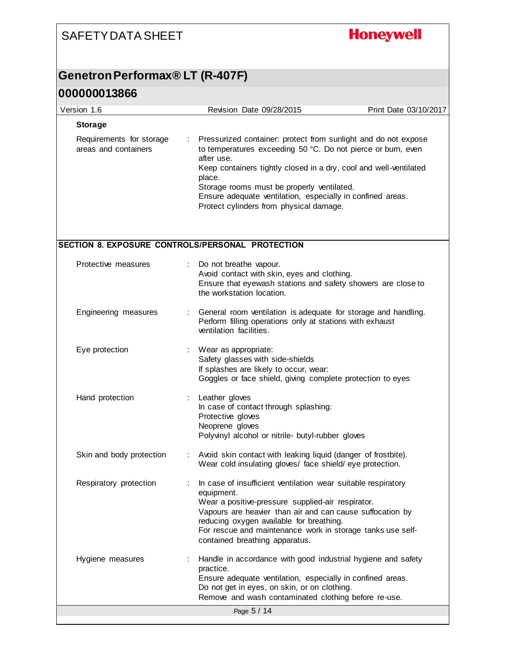# **Honeywell**

## **Genetron Performax® LT (R-407F)**

| Version 1.6                                      |    | Revision Date 09/28/2015                                                                                                                                                                                                                                                                                                                                                           | Print Date 03/10/2017 |
|--------------------------------------------------|----|------------------------------------------------------------------------------------------------------------------------------------------------------------------------------------------------------------------------------------------------------------------------------------------------------------------------------------------------------------------------------------|-----------------------|
| <b>Storage</b>                                   |    |                                                                                                                                                                                                                                                                                                                                                                                    |                       |
| Requirements for storage<br>areas and containers | ÷. | Pressurized container: protect from sunlight and do not expose<br>to temperatures exceeding 50 °C. Do not pierce or burn, even<br>after use.<br>Keep containers tightly closed in a dry, cool and well-ventilated<br>place.<br>Storage rooms must be properly ventilated.<br>Ensure adequate ventilation, especially in confined areas.<br>Protect cylinders from physical damage. |                       |
| SECTION 8. EXPOSURE CONTROLS/PERSONAL PROTECTION |    |                                                                                                                                                                                                                                                                                                                                                                                    |                       |
| Protective measures                              |    | Do not breathe vapour.<br>Avoid contact with skin, eyes and clothing.<br>Ensure that eyewash stations and safety showers are close to<br>the workstation location.                                                                                                                                                                                                                 |                       |
| Engineering measures                             |    | General room ventilation is adequate for storage and handling.<br>Perform filling operations only at stations with exhaust<br>ventilation facilities.                                                                                                                                                                                                                              |                       |
| Eye protection                                   |    | Wear as appropriate:<br>Safety glasses with side-shields<br>If splashes are likely to occur, wear:<br>Goggles or face shield, giving complete protection to eyes                                                                                                                                                                                                                   |                       |
| Hand protection                                  |    | Leather gloves<br>In case of contact through splashing:<br>Protective gloves<br>Neoprene gloves<br>Polyvinyl alcohol or nitrile- butyl-rubber gloves                                                                                                                                                                                                                               |                       |
| Skin and body protection                         |    | Avoid skin contact with leaking liquid (danger of frostbite).<br>Wear cold insulating gloves/ face shield/eye protection.                                                                                                                                                                                                                                                          |                       |
| Respiratory protection                           |    | In case of insufficient ventilation wear suitable respiratory<br>equipment.<br>Wear a positive-pressure supplied-air respirator.<br>Vapours are heavier than air and can cause suffocation by<br>reducing oxygen available for breathing.<br>For rescue and maintenance work in storage tanks use self-<br>contained breathing apparatus.                                          |                       |
| Hygiene measures                                 |    | Handle in accordance with good industrial hygiene and safety<br>practice.<br>Ensure adequate ventilation, especially in confined areas.<br>Do not get in eyes, on skin, or on clothing.<br>Remove and wash contaminated clothing before re-use.                                                                                                                                    |                       |
|                                                  |    | Page 5 / 14                                                                                                                                                                                                                                                                                                                                                                        |                       |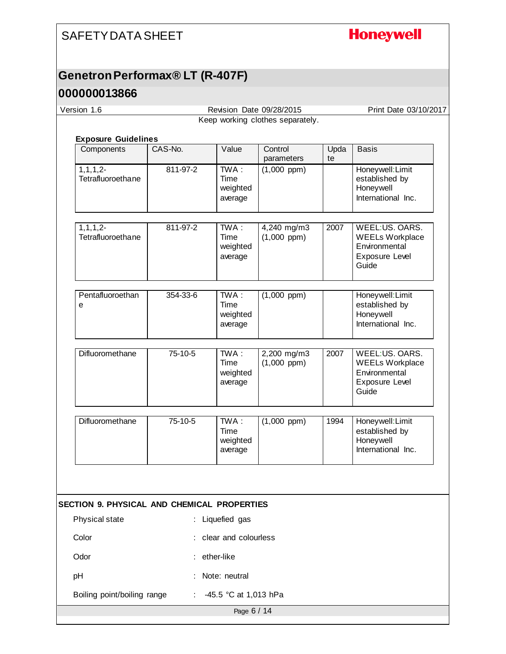## **Honeywell**

## **Genetron Performax® LT (R-407F)**

#### **000000013866**

| Version 1.6                                 |          |                                        | Revision Date 09/28/2015         |            | Print Date 03/10/2017                                                                |
|---------------------------------------------|----------|----------------------------------------|----------------------------------|------------|--------------------------------------------------------------------------------------|
|                                             |          |                                        | Keep working clothes separately. |            |                                                                                      |
|                                             |          |                                        |                                  |            |                                                                                      |
| <b>Exposure Guidelines</b><br>Components    | CAS-No.  | Value                                  | Control<br>parameters            | Upda<br>te | <b>Basis</b>                                                                         |
| $1, 1, 1, 2-$<br>Tetrafluoroethane          | 811-97-2 | $TWA$ :<br>Time<br>weighted<br>average | $(1,000$ ppm $)$                 |            | Honeywell: Limit<br>established by<br>Honeywell<br>International Inc.                |
| $1, 1, 1, 2-$<br>Tetrafluoroethane          | 811-97-2 | $TWA$ :<br>Time<br>weighted<br>average | 4,240 mg/m3<br>$(1,000$ ppm $)$  | 2007       | WEEL:US. OARS.<br><b>WEELs Workplace</b><br>Environmental<br>Exposure Level<br>Guide |
| Pentafluoroethan<br>е                       | 354-33-6 | TWA:<br>Time<br>weighted<br>average    | $(1,000$ ppm $)$                 |            | Honeywell: Limit<br>established by<br>Honeywell<br>International Inc.                |
| Difluoromethane                             | 75-10-5  | TWA:<br>Time<br>weighted<br>average    | 2,200 mg/m3<br>$(1,000$ ppm $)$  | 2007       | WEEL:US. OARS.<br><b>WEELs Workplace</b><br>Environmental<br>Exposure Level<br>Guide |
| Difluoromethane                             | 75-10-5  | $TWA$ :<br>Time<br>weighted<br>average | $(1,000$ ppm $)$                 | 1994       | Honeywell: Limit<br>established by<br>Honeywell<br>International Inc.                |
|                                             |          |                                        |                                  |            |                                                                                      |
| SECTION 9. PHYSICAL AND CHEMICAL PROPERTIES |          |                                        |                                  |            |                                                                                      |
| Physical state                              |          | : Liquefied gas                        |                                  |            |                                                                                      |
| Color                                       |          | clear and colourless                   |                                  |            |                                                                                      |
| Odor                                        |          | ether-like                             |                                  |            |                                                                                      |
| pH                                          |          | Note: neutral                          |                                  |            |                                                                                      |
| Boiling point/boiling range                 |          | -45.5 °C at 1,013 hPa                  |                                  |            |                                                                                      |

Page 6 / 14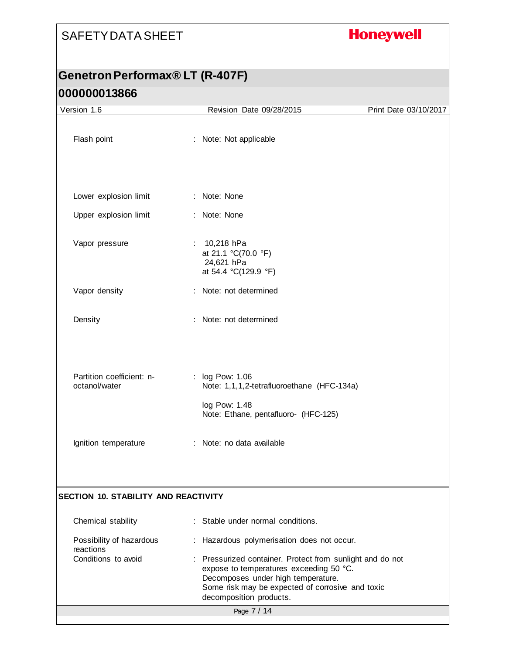# **Honeywell**

## **Genetron Performax® LT (R-407F) 000000013866**

| Version 1.6                                | Revision Date 09/28/2015                                                                                                                                                                                                  | Print Date 03/10/2017 |
|--------------------------------------------|---------------------------------------------------------------------------------------------------------------------------------------------------------------------------------------------------------------------------|-----------------------|
| Flash point                                | : Note: Not applicable                                                                                                                                                                                                    |                       |
|                                            |                                                                                                                                                                                                                           |                       |
| Lower explosion limit                      | : Note: None                                                                                                                                                                                                              |                       |
| Upper explosion limit                      | : Note: None                                                                                                                                                                                                              |                       |
| Vapor pressure                             | : $10,218$ hPa<br>at 21.1 °C(70.0 °F)<br>24,621 hPa<br>at 54.4 °C(129.9 °F)                                                                                                                                               |                       |
| Vapor density                              | : Note: not determined                                                                                                                                                                                                    |                       |
| Density                                    | : Note: not determined                                                                                                                                                                                                    |                       |
| Partition coefficient: n-<br>octanol/water | : log Pow: 1.06<br>Note: 1,1,1,2-tetrafluoroethane (HFC-134a)                                                                                                                                                             |                       |
|                                            | log Pow: 1.48<br>Note: Ethane, pentafluoro- (HFC-125)                                                                                                                                                                     |                       |
| Ignition temperature                       | : Note: no data available                                                                                                                                                                                                 |                       |
|                                            |                                                                                                                                                                                                                           |                       |
| SECTION 10. STABILITY AND REACTIVITY       |                                                                                                                                                                                                                           |                       |
| Chemical stability                         | Stable under normal conditions.                                                                                                                                                                                           |                       |
| Possibility of hazardous<br>reactions      | : Hazardous polymerisation does not occur.                                                                                                                                                                                |                       |
| Conditions to avoid                        | : Pressurized container. Protect from sunlight and do not<br>expose to temperatures exceeding 50 °C.<br>Decomposes under high temperature.<br>Some risk may be expected of corrosive and toxic<br>decomposition products. |                       |
|                                            | Page 7 / 14                                                                                                                                                                                                               |                       |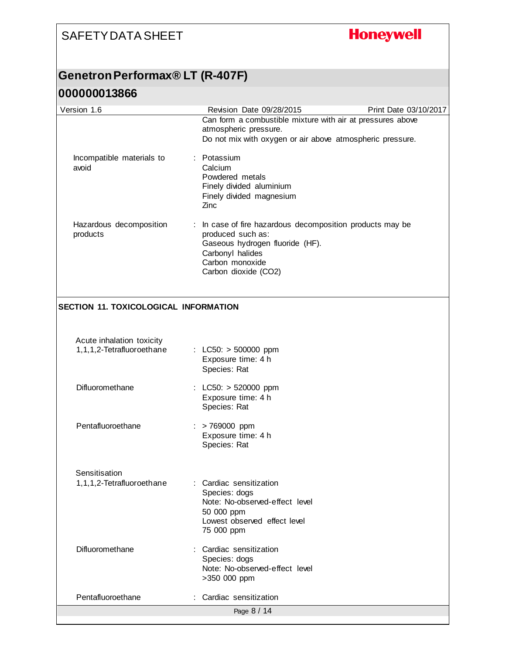# **Honeywell**

## **Genetron Performax® LT (R-407F)**

| Version 1.6                                            | Revision Date 09/28/2015                                                                                                                                                         | Print Date 03/10/2017 |
|--------------------------------------------------------|----------------------------------------------------------------------------------------------------------------------------------------------------------------------------------|-----------------------|
|                                                        | Can form a combustible mixture with air at pressures above<br>atmospheric pressure.<br>Do not mix with oxygen or air above atmospheric pressure.                                 |                       |
| Incompatible materials to<br>avoid                     | : Potassium<br>Calcium<br>Powdered metals<br>Finely divided aluminium<br>Finely divided magnesium<br>Zinc                                                                        |                       |
| Hazardous decomposition<br>products                    | : In case of fire hazardous decomposition products may be<br>produced such as:<br>Gaseous hydrogen fluoride (HF).<br>Carbonyl halides<br>Carbon monoxide<br>Carbon dioxide (CO2) |                       |
| <b>SECTION 11. TOXICOLOGICAL INFORMATION</b>           |                                                                                                                                                                                  |                       |
| Acute inhalation toxicity<br>1,1,1,2-Tetrafluoroethane | : $LC50: > 500000$ ppm<br>Exposure time: 4 h<br>Species: Rat                                                                                                                     |                       |
| Difluoromethane                                        | : LC50: $> 520000$ ppm<br>Exposure time: 4 h<br>Species: Rat                                                                                                                     |                       |
| Pentafluoroethane                                      | $:$ > 769000 ppm<br>Exposure time: 4 h<br>Species: Rat                                                                                                                           |                       |
| Sensitisation<br>1,1,1,2-Tetrafluoroethane             | : Cardiac sensitization<br>Species: dogs<br>Note: No-observed-effect level<br>50 000 ppm<br>Lowest observed effect level<br>75 000 ppm                                           |                       |
| Difluoromethane                                        | : Cardiac sensitization<br>Species: dogs<br>Note: No-observed-effect level<br>>350 000 ppm                                                                                       |                       |
| Pentafluoroethane                                      | : Cardiac sensitization                                                                                                                                                          |                       |
|                                                        | Page 8 / 14                                                                                                                                                                      |                       |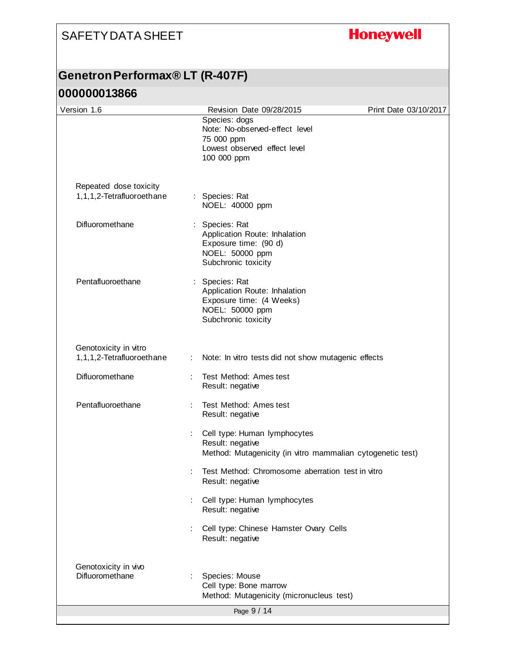# **Honeywell**

## **Genetron Performax® LT (R-407F)**

|                                                    |                           | Species: dogs<br>Note: No-observed-effect level<br>75 000 ppm<br>Lowest observed effect level<br>100 000 ppm          |  |
|----------------------------------------------------|---------------------------|-----------------------------------------------------------------------------------------------------------------------|--|
| Repeated dose toxicity                             |                           |                                                                                                                       |  |
| 1,1,1,2-Tetrafluoroethane                          |                           | : Species: Rat<br>NOEL: 40000 ppm                                                                                     |  |
| Difluoromethane                                    |                           | : Species: Rat<br>Application Route: Inhalation<br>Exposure time: (90 d)<br>NOEL: 50000 ppm<br>Subchronic toxicity    |  |
| Pentafluoroethane                                  |                           | : Species: Rat<br>Application Route: Inhalation<br>Exposure time: (4 Weeks)<br>NOEL: 50000 ppm<br>Subchronic toxicity |  |
| Genotoxicity in vitro<br>1,1,1,2-Tetrafluoroethane | $\mathbb{Z}^{\mathbb{Z}}$ | Note: In vitro tests did not show mutagenic effects                                                                   |  |
| Difluoromethane                                    |                           | Test Method: Ames test<br>Result: negative                                                                            |  |
| Pentafluoroethane                                  |                           | Test Method: Ames test<br>Result: negative                                                                            |  |
|                                                    |                           | Cell type: Human lymphocytes<br>Result: negative<br>Method: Mutagenicity (in vitro mammalian cytogenetic test)        |  |
|                                                    |                           | Test Method: Chromosome aberration test in vitro<br>Result: negative                                                  |  |
|                                                    |                           | Cell type: Human lymphocytes<br>Result: negative                                                                      |  |
|                                                    |                           | Cell type: Chinese Hamster Ovary Cells<br>Result: negative                                                            |  |
| Genotoxicity in vivo<br>Difluoromethane            |                           | Species: Mouse<br>Cell type: Bone marrow<br>Method: Mutagenicity (micronucleus test)                                  |  |
|                                                    |                           | Page 9 / 14                                                                                                           |  |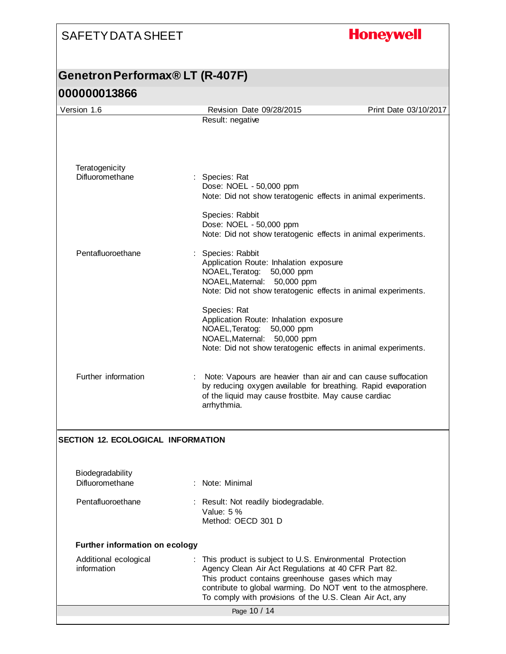# **Honeywell**

## **Genetron Performax® LT (R-407F) 000000013866**

| Version 1.6                               | Revision Date 09/28/2015                                                                                                             | Print Date 03/10/2017 |
|-------------------------------------------|--------------------------------------------------------------------------------------------------------------------------------------|-----------------------|
|                                           | Result: negative                                                                                                                     |                       |
|                                           |                                                                                                                                      |                       |
|                                           |                                                                                                                                      |                       |
| Teratogenicity<br>Difluoromethane         | Species: Rat                                                                                                                         |                       |
|                                           | Dose: NOEL - 50,000 ppm<br>Note: Did not show teratogenic effects in animal experiments.                                             |                       |
|                                           | Species: Rabbit                                                                                                                      |                       |
|                                           | Dose: NOEL - 50,000 ppm<br>Note: Did not show teratogenic effects in animal experiments.                                             |                       |
|                                           |                                                                                                                                      |                       |
| Pentafluoroethane                         | Species: Rabbit<br>Application Route: Inhalation exposure                                                                            |                       |
|                                           | NOAEL, Teratog:<br>50,000 ppm<br>NOAEL, Maternal: 50,000 ppm                                                                         |                       |
|                                           | Note: Did not show teratogenic effects in animal experiments.                                                                        |                       |
|                                           | Species: Rat                                                                                                                         |                       |
|                                           | Application Route: Inhalation exposure<br>NOAEL, Teratog:<br>50,000 ppm                                                              |                       |
|                                           | NOAEL, Maternal:<br>50,000 ppm                                                                                                       |                       |
|                                           | Note: Did not show teratogenic effects in animal experiments.                                                                        |                       |
| Further information                       | Note: Vapours are heavier than air and can cause suffocation                                                                         |                       |
|                                           | by reducing oxygen available for breathing. Rapid evaporation<br>of the liquid may cause frostbite. May cause cardiac<br>arrhythmia. |                       |
|                                           |                                                                                                                                      |                       |
| <b>SECTION 12. ECOLOGICAL INFORMATION</b> |                                                                                                                                      |                       |
|                                           |                                                                                                                                      |                       |
| Biodegradability                          |                                                                                                                                      |                       |
| Difluoromethane                           | : Note: Minimal                                                                                                                      |                       |
| Pentafluoroethane                         | Result: Not readily biodegradable.<br>Value: $5%$                                                                                    |                       |
|                                           | Method: OECD 301 D                                                                                                                   |                       |
| <b>Further information on ecology</b>     |                                                                                                                                      |                       |
| Additional ecological                     | This product is subject to U.S. Environmental Protection                                                                             |                       |
| information                               | Agency Clean Air Act Regulations at 40 CFR Part 82.<br>This product contains greenhouse gases which may                              |                       |
|                                           | contribute to global warming. Do NOT vent to the atmosphere.<br>To comply with provisions of the U.S. Clean Air Act, any             |                       |
|                                           | Page 10 / 14                                                                                                                         |                       |
|                                           |                                                                                                                                      |                       |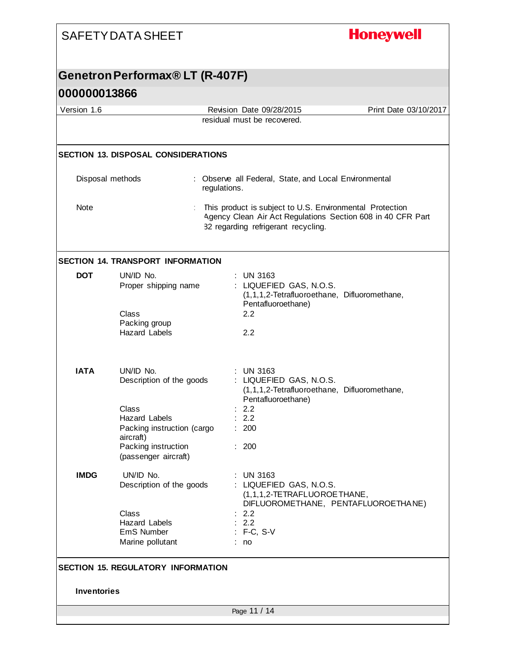# **Honeywell**

## **Genetron Performax® LT (R-407F)**

| Version 1.6        |                                                                          | Revision Date 09/28/2015                                                                                                                                       | Print Date 03/10/2017 |
|--------------------|--------------------------------------------------------------------------|----------------------------------------------------------------------------------------------------------------------------------------------------------------|-----------------------|
|                    |                                                                          | residual must be recovered.                                                                                                                                    |                       |
|                    |                                                                          |                                                                                                                                                                |                       |
|                    | <b>SECTION 13. DISPOSAL CONSIDERATIONS</b>                               |                                                                                                                                                                |                       |
|                    | Disposal methods                                                         | : Observe all Federal, State, and Local Environmental<br>regulations.                                                                                          |                       |
| <b>Note</b>        |                                                                          | This product is subject to U.S. Environmental Protection<br>Agency Clean Air Act Regulations Section 608 in 40 CFR Part<br>82 regarding refrigerant recycling. |                       |
|                    | <b>SECTION 14. TRANSPORT INFORMATION</b>                                 |                                                                                                                                                                |                       |
| <b>DOT</b>         | UN/ID No.<br>Proper shipping name                                        | $:$ UN 3163<br>: LIQUEFIED GAS, N.O.S.<br>(1,1,1,2-Tetrafluoroethane, Difluoromethane,<br>Pentafluoroethane)                                                   |                       |
|                    | Class<br>Packing group<br><b>Hazard Labels</b>                           | 2.2<br>2.2                                                                                                                                                     |                       |
| <b>IATA</b>        | UN/ID No.<br>Description of the goods                                    | $:$ UN 3163<br>: LIQUEFIED GAS, N.O.S.<br>(1,1,1,2-Tetrafluoroethane, Difluoromethane,<br>Pentafluoroethane)                                                   |                       |
|                    | Class<br><b>Hazard Labels</b><br>Packing instruction (cargo<br>aircraft) | 2.2<br>2.2<br>: 200                                                                                                                                            |                       |
|                    | Packing instruction<br>(passenger aircraft)                              | : 200                                                                                                                                                          |                       |
| <b>IMDG</b>        | UN/ID No.<br>Description of the goods                                    | <b>UN 3163</b><br>LIQUEFIED GAS, N.O.S.<br>(1,1,1,2-TETRAFLUOROETHANE,<br>DIFLUOROMETHANE, PENTAFLUOROETHANE)                                                  |                       |
|                    | Class<br><b>Hazard Labels</b><br>EmS Number<br>Marine pollutant          | : 2.2<br>$\therefore$ 2.2<br>$: F-C, S-V$<br>: no                                                                                                              |                       |
|                    | <b>SECTION 15. REGULATORY INFORMATION</b>                                |                                                                                                                                                                |                       |
| <b>Inventories</b> |                                                                          |                                                                                                                                                                |                       |
|                    |                                                                          | Page 11 / 14                                                                                                                                                   |                       |
|                    |                                                                          |                                                                                                                                                                |                       |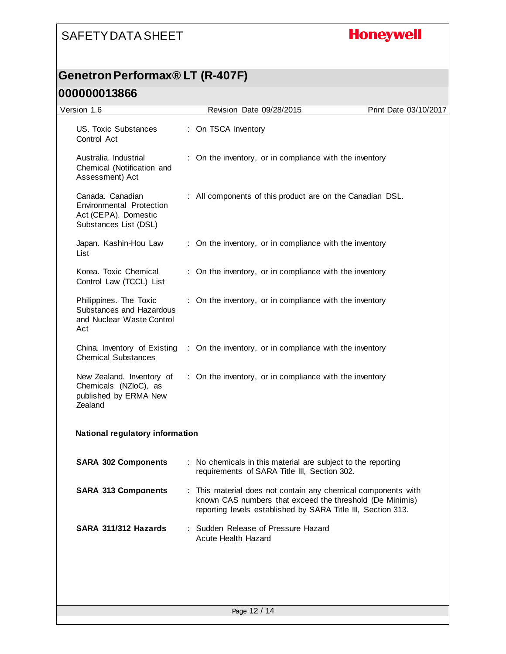# **Honeywell**

## **Genetron Performax® LT (R-407F)**

| Version 1.6                                                                                   | Revision Date 09/28/2015                                                                                                                                                                | Print Date 03/10/2017 |
|-----------------------------------------------------------------------------------------------|-----------------------------------------------------------------------------------------------------------------------------------------------------------------------------------------|-----------------------|
| US. Toxic Substances<br>Control Act                                                           | : On TSCA Inventory                                                                                                                                                                     |                       |
| Australia. Industrial<br>Chemical (Notification and<br>Assessment) Act                        | : On the inventory, or in compliance with the inventory                                                                                                                                 |                       |
| Canada. Canadian<br>Environmental Protection<br>Act (CEPA). Domestic<br>Substances List (DSL) | : All components of this product are on the Canadian DSL.                                                                                                                               |                       |
| Japan. Kashin-Hou Law<br>List                                                                 | : On the inventory, or in compliance with the inventory                                                                                                                                 |                       |
| Korea. Toxic Chemical<br>Control Law (TCCL) List                                              | : On the inventory, or in compliance with the inventory                                                                                                                                 |                       |
| Philippines. The Toxic<br>Substances and Hazardous<br>and Nuclear Waste Control<br>Act        | : On the inventory, or in compliance with the inventory                                                                                                                                 |                       |
| China. Inventory of Existing<br><b>Chemical Substances</b>                                    | : On the inventory, or in compliance with the inventory                                                                                                                                 |                       |
| New Zealand. Inventory of<br>Chemicals (NZloC), as<br>published by ERMA New<br>Zealand        | : On the inventory, or in compliance with the inventory                                                                                                                                 |                       |
| <b>National regulatory information</b>                                                        |                                                                                                                                                                                         |                       |
| <b>SARA 302 Components</b>                                                                    | : No chemicals in this material are subject to the reporting<br>requirements of SARA Title III, Section 302.                                                                            |                       |
| <b>SARA 313 Components</b>                                                                    | This material does not contain any chemical components with<br>known CAS numbers that exceed the threshold (De Minimis)<br>reporting levels established by SARA Title III, Section 313. |                       |
| SARA 311/312 Hazards                                                                          | : Sudden Release of Pressure Hazard<br><b>Acute Health Hazard</b>                                                                                                                       |                       |
|                                                                                               |                                                                                                                                                                                         |                       |
|                                                                                               | Page 12 / 14                                                                                                                                                                            |                       |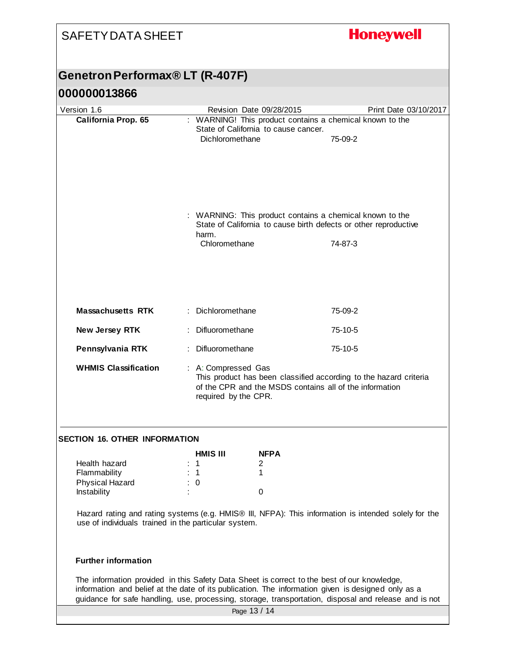| <b>SAFETY DATA SHEET</b>                                                                                                                                                                          |                                                                                                                                                                             |                                                                                                                              | <b>Honeywell</b>                                                                                      |
|---------------------------------------------------------------------------------------------------------------------------------------------------------------------------------------------------|-----------------------------------------------------------------------------------------------------------------------------------------------------------------------------|------------------------------------------------------------------------------------------------------------------------------|-------------------------------------------------------------------------------------------------------|
| Genetron Performax® LT (R-407F)                                                                                                                                                                   |                                                                                                                                                                             |                                                                                                                              |                                                                                                       |
| 000000013866                                                                                                                                                                                      |                                                                                                                                                                             |                                                                                                                              |                                                                                                       |
| Version 1.6                                                                                                                                                                                       |                                                                                                                                                                             | Revision Date 09/28/2015                                                                                                     | Print Date 03/10/2017                                                                                 |
| California Prop. 65                                                                                                                                                                               | Dichloromethane                                                                                                                                                             | State of California to cause cancer.                                                                                         | : WARNING! This product contains a chemical known to the<br>75-09-2                                   |
|                                                                                                                                                                                                   | harm.                                                                                                                                                                       | : WARNING: This product contains a chemical known to the<br>State of California to cause birth defects or other reproductive |                                                                                                       |
|                                                                                                                                                                                                   | Chloromethane                                                                                                                                                               |                                                                                                                              | 74-87-3                                                                                               |
| <b>Massachusetts RTK</b>                                                                                                                                                                          | : Dichloromethane                                                                                                                                                           |                                                                                                                              | 75-09-2                                                                                               |
| New Jersey RTK                                                                                                                                                                                    | : Difluoromethane                                                                                                                                                           |                                                                                                                              | 75-10-5                                                                                               |
| Pennsylvania RTK                                                                                                                                                                                  | : Difluoromethane                                                                                                                                                           |                                                                                                                              | $75-10-5$                                                                                             |
| <b>WHMIS Classification</b>                                                                                                                                                                       | : A: Compressed Gas<br>This product has been classified according to the hazard criteria<br>of the CPR and the MSDS contains all of the information<br>required by the CPR. |                                                                                                                              |                                                                                                       |
| <b>SECTION 16. OTHER INFORMATION</b>                                                                                                                                                              |                                                                                                                                                                             |                                                                                                                              |                                                                                                       |
| Health hazard                                                                                                                                                                                     | <b>HMIS III</b><br>$\therefore$ 1                                                                                                                                           | <b>NFPA</b><br>2                                                                                                             |                                                                                                       |
| Flammability                                                                                                                                                                                      | $\therefore$ 1                                                                                                                                                              | 1                                                                                                                            |                                                                                                       |
| Physical Hazard<br>Instability                                                                                                                                                                    | $\therefore$ 0                                                                                                                                                              | 0                                                                                                                            |                                                                                                       |
| use of individuals trained in the particular system.                                                                                                                                              |                                                                                                                                                                             |                                                                                                                              | Hazard rating and rating systems (e.g. HMIS® III, NFPA): This information is intended solely for the  |
| <b>Further information</b>                                                                                                                                                                        |                                                                                                                                                                             |                                                                                                                              |                                                                                                       |
| The information provided in this Safety Data Sheet is correct to the best of our knowledge,<br>information and belief at the date of its publication. The information given is designed only as a |                                                                                                                                                                             |                                                                                                                              | guidance for safe handling, use, processing, storage, transportation, disposal and release and is not |
|                                                                                                                                                                                                   | Page 13 / 14                                                                                                                                                                |                                                                                                                              |                                                                                                       |